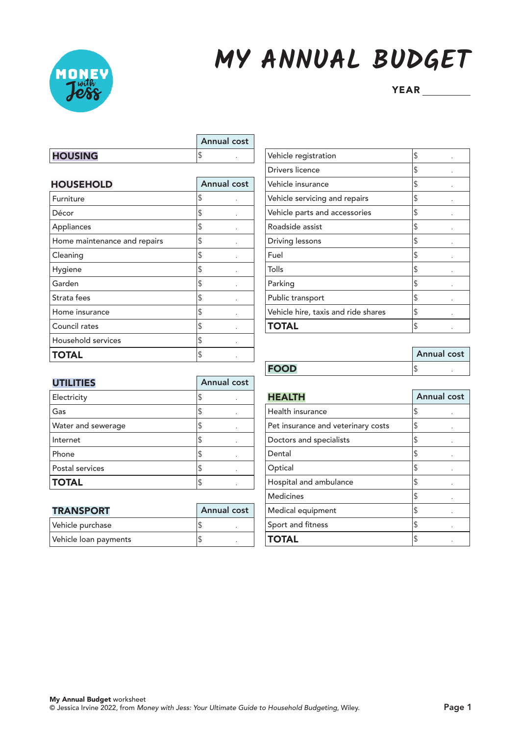

## **MY ANNUAL BUDGET**

|               | <b>Annual cost</b> |  |
|---------------|--------------------|--|
| <b>HOUSIN</b> |                    |  |

| <b>HOUSEHOLD</b>             | <b>Annual cost</b> |
|------------------------------|--------------------|
| Furniture                    | \$                 |
| Décor                        | \$                 |
| Appliances                   | \$                 |
| Home maintenance and repairs | \$                 |
| Cleaning                     | \$                 |
| Hygiene                      | \$                 |
| Garden                       | \$                 |
| Strata fees                  | \$                 |
| Home insurance               | \$                 |
| Council rates                | \$                 |
| Household services           | \$                 |
| TOTAL                        | \$                 |

| Vehicle registration                | \$ |
|-------------------------------------|----|
| Drivers licence                     | \$ |
| Vehicle insurance                   | \$ |
| Vehicle servicing and repairs       | \$ |
| Vehicle parts and accessories       | \$ |
| Roadside assist                     | \$ |
| Driving lessons                     | \$ |
| Fuel                                | \$ |
| Tolls                               | \$ |
| Parking                             | \$ |
| Public transport                    | \$ |
| Vehicle hire, taxis and ride shares | \$ |
| <b>TOTAL</b>                        | \$ |

|             | <b>Annual cost</b> |  |
|-------------|--------------------|--|
| <b>FOOD</b> |                    |  |

| <b>UTILITIES</b>   | <b>Annual cost</b> |
|--------------------|--------------------|
| Electricity        | \$                 |
| Gas                | \$                 |
| Water and sewerage | \$                 |
| Internet           | S                  |
| Phone              | \$                 |
| Postal services    | S                  |
| <b>TOTAL</b>       |                    |

| <b>TRANSPORT</b>      | <b>Annual cost</b> |
|-----------------------|--------------------|
| Vehicle purchase      |                    |
| Vehicle loan payments |                    |

| <b>HEALTH</b>                      | <b>Annual cost</b> |
|------------------------------------|--------------------|
| Health insurance                   | \$                 |
| Pet insurance and veterinary costs | \$                 |
| Doctors and specialists            | \$                 |
| Dental                             | \$                 |
| Optical                            | \$                 |
| Hospital and ambulance             | \$                 |
| <b>Medicines</b>                   | \$                 |
| Medical equipment                  | \$                 |
| Sport and fitness                  | \$                 |
| <b>TOTAL</b>                       | S                  |